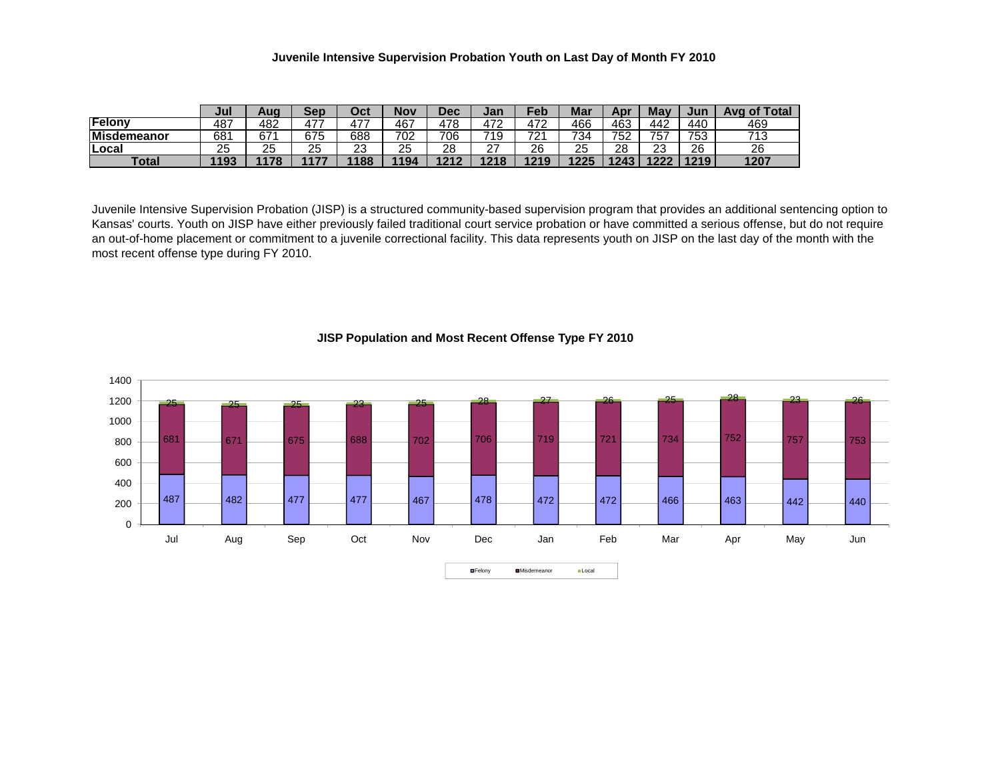## **Juvenile Intensive Supervision Probation Youth on Last Day of Month FY 2010**

|                    | Jul  | Auo  | Sep  | Oct      | Nov  | Dec  | Jan       | $\epsilon$ eb  | Mar  | Apı  | May       | Jun  | of Total<br>Ave |
|--------------------|------|------|------|----------|------|------|-----------|----------------|------|------|-----------|------|-----------------|
| Felony             | 487  | 482  | 477  | 477      | 467  | 478  | 472       | 170            | 466  | 463  | 442       | 440  | 469             |
| <b>Misdemeanor</b> | 681  | 67   | 675  | 688      | 702  | 706  | 719       | 701<br>∼       | 734  | 752  | 757       | 753  | 74 2<br>ں ا     |
| Local              | 25   | 25   | 25   | ົດ<br>د∠ | 25   | 28   | ^7<br>, i | 26             | 25   | 28   | າາ<br>دے  | 26   | 26              |
| Total              | 1193 | 4470 | 1477 | 1188     | 1194 | 1212 | 1218      | 1210<br>17 I J | 1225 | 1243 | 1227<br>. | 1219 | 1207            |

Juvenile Intensive Supervision Probation (JISP) is a structured community-based supervision program that provides an additional sentencing option to Kansas' courts. Youth on JISP have either previously failed traditional court service probation or have committed a serious offense, but do not require an out-of-home placement or commitment to a juvenile correctional facility. This data represents youth on JISP on the last day of the month with the most recent offense type during FY 2010.



## **JISP Population and Most Recent Offense Type FY 2010**